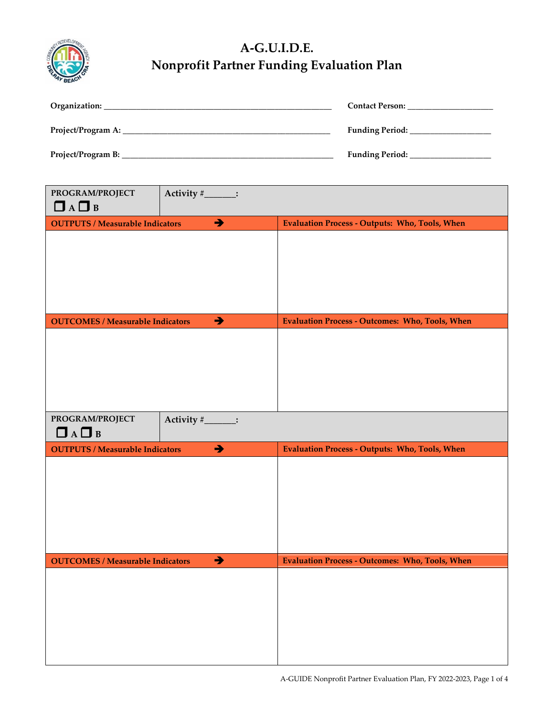

## **A-G.U.I.D.E. Nonprofit Partner Funding Evaluation Plan**

| Organization:      | <b>Contact Person:</b> |
|--------------------|------------------------|
| Project/Program A: | <b>Funding Period:</b> |
| Project/Program B: | <b>Funding Period:</b> |

| PROGRAM/PROJECT<br>Activity #______:<br>$\Box$ A $\Box$ B |                   |                                                        |  |
|-----------------------------------------------------------|-------------------|--------------------------------------------------------|--|
| <b>OUTPUTS / Measurable Indicators</b>                    | $\rightarrow$     | <b>Evaluation Process - Outputs: Who, Tools, When</b>  |  |
|                                                           |                   |                                                        |  |
| <b>OUTCOMES / Measurable Indicators</b>                   | $\rightarrow$     | <b>Evaluation Process - Outcomes: Who, Tools, When</b> |  |
|                                                           |                   |                                                        |  |
| PROGRAM/PROJECT<br>$\Box$ A $\Box$ B                      | Activity #______: |                                                        |  |
| <b>OUTPUTS / Measurable Indicators</b>                    | $\rightarrow$     | <b>Evaluation Process - Outputs: Who, Tools, When</b>  |  |
|                                                           |                   |                                                        |  |
| <b>OUTCOMES / Measurable Indicators</b>                   | $\rightarrow$     | <b>Evaluation Process - Outcomes: Who, Tools, When</b> |  |
|                                                           |                   |                                                        |  |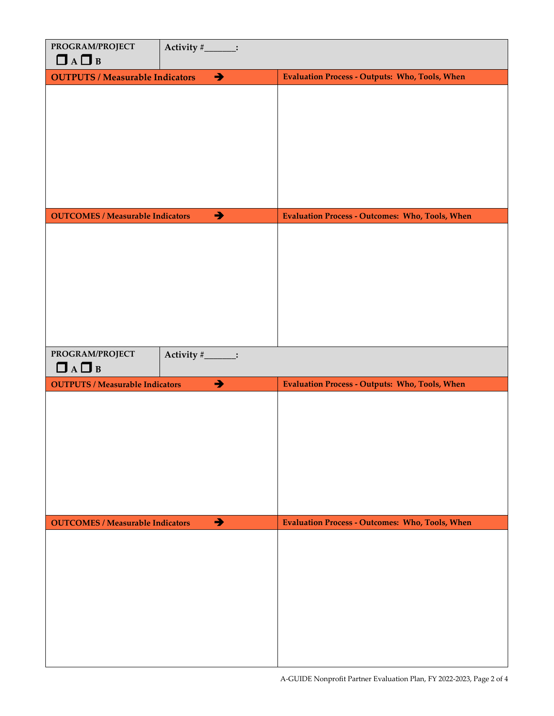| PROGRAM/PROJECT<br>$\Box$ A $\Box$ B                        | Activity #______: |                                                        |  |
|-------------------------------------------------------------|-------------------|--------------------------------------------------------|--|
| <b>OUTPUTS / Measurable Indicators</b>                      | $\rightarrow$     | <b>Evaluation Process - Outputs: Who, Tools, When</b>  |  |
|                                                             |                   |                                                        |  |
|                                                             |                   |                                                        |  |
|                                                             |                   |                                                        |  |
|                                                             |                   |                                                        |  |
|                                                             |                   |                                                        |  |
|                                                             |                   |                                                        |  |
|                                                             |                   |                                                        |  |
|                                                             |                   |                                                        |  |
| <b>OUTCOMES / Measurable Indicators</b>                     | $\rightarrow$     | <b>Evaluation Process - Outcomes: Who, Tools, When</b> |  |
|                                                             |                   |                                                        |  |
|                                                             |                   |                                                        |  |
|                                                             |                   |                                                        |  |
|                                                             |                   |                                                        |  |
|                                                             |                   |                                                        |  |
|                                                             |                   |                                                        |  |
|                                                             |                   |                                                        |  |
|                                                             |                   |                                                        |  |
|                                                             |                   |                                                        |  |
| PROGRAM/PROJECT                                             | Activity #______: |                                                        |  |
| $\Box$ A $\Box$ B<br><b>OUTPUTS / Measurable Indicators</b> | $\rightarrow$     |                                                        |  |
|                                                             |                   | <b>Evaluation Process - Outputs: Who, Tools, When</b>  |  |
|                                                             |                   |                                                        |  |
|                                                             |                   |                                                        |  |
|                                                             |                   |                                                        |  |
|                                                             |                   |                                                        |  |
|                                                             |                   |                                                        |  |
|                                                             |                   |                                                        |  |
|                                                             |                   |                                                        |  |
| <b>OUTCOMES / Measurable Indicators</b>                     | $\rightarrow$     | <b>Evaluation Process - Outcomes: Who, Tools, When</b> |  |
|                                                             |                   |                                                        |  |
|                                                             |                   |                                                        |  |
|                                                             |                   |                                                        |  |
|                                                             |                   |                                                        |  |
|                                                             |                   |                                                        |  |
|                                                             |                   |                                                        |  |
|                                                             |                   |                                                        |  |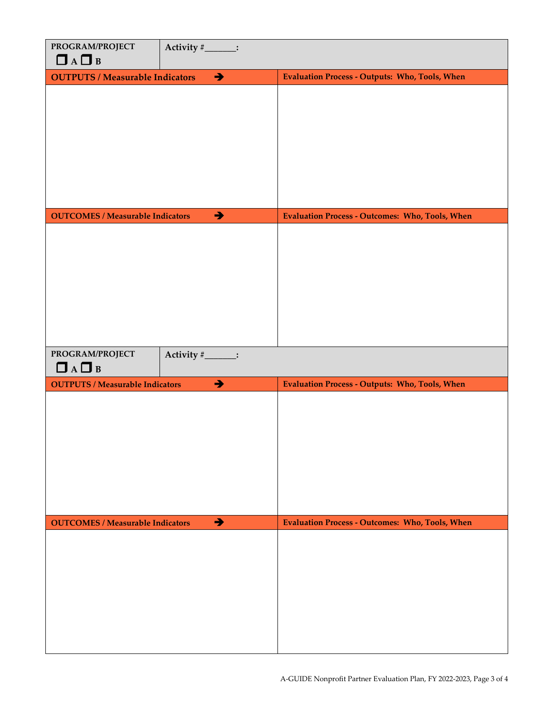| PROGRAM/PROJECT<br>$\Box$ A $\Box$ B    | Activity #______: |                                                        |  |
|-----------------------------------------|-------------------|--------------------------------------------------------|--|
| <b>OUTPUTS / Measurable Indicators</b>  | $\rightarrow$     | <b>Evaluation Process - Outputs: Who, Tools, When</b>  |  |
|                                         |                   |                                                        |  |
|                                         |                   |                                                        |  |
|                                         |                   |                                                        |  |
|                                         |                   |                                                        |  |
|                                         |                   |                                                        |  |
|                                         |                   |                                                        |  |
|                                         |                   |                                                        |  |
|                                         |                   |                                                        |  |
| <b>OUTCOMES / Measurable Indicators</b> | $\rightarrow$     | <b>Evaluation Process - Outcomes: Who, Tools, When</b> |  |
|                                         |                   |                                                        |  |
|                                         |                   |                                                        |  |
|                                         |                   |                                                        |  |
|                                         |                   |                                                        |  |
|                                         |                   |                                                        |  |
|                                         |                   |                                                        |  |
|                                         |                   |                                                        |  |
|                                         |                   |                                                        |  |
| PROGRAM/PROJECT<br>$\Box$ A $\Box$ B    | Activity #______: |                                                        |  |
| <b>OUTPUTS / Measurable Indicators</b>  | $\rightarrow$     | <b>Evaluation Process - Outputs: Who, Tools, When</b>  |  |
|                                         |                   |                                                        |  |
|                                         |                   |                                                        |  |
|                                         |                   |                                                        |  |
|                                         |                   |                                                        |  |
|                                         |                   |                                                        |  |
|                                         |                   |                                                        |  |
|                                         |                   |                                                        |  |
|                                         |                   |                                                        |  |
| <b>OUTCOMES / Measurable Indicators</b> | $\rightarrow$     | <b>Evaluation Process - Outcomes: Who, Tools, When</b> |  |
|                                         |                   |                                                        |  |
|                                         |                   |                                                        |  |
|                                         |                   |                                                        |  |
|                                         |                   |                                                        |  |
|                                         |                   |                                                        |  |
|                                         |                   |                                                        |  |